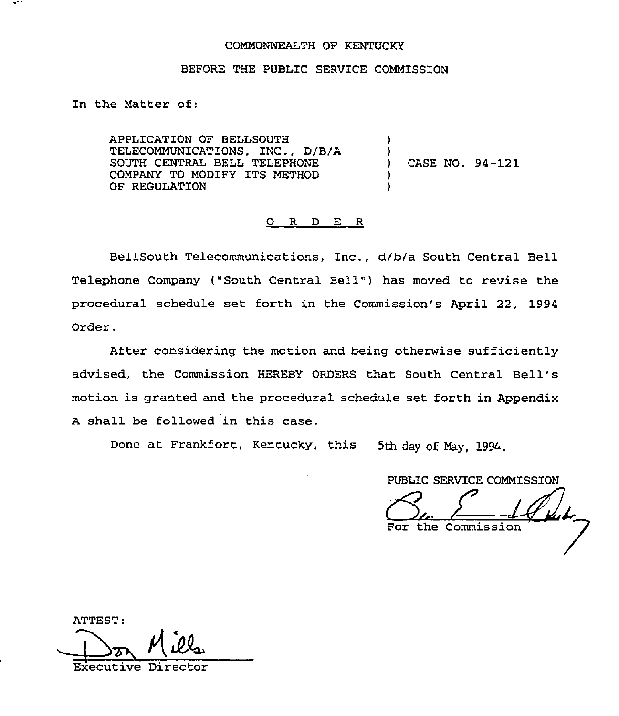## COMMONWEALTH OF KENTUCKY

## BEFORE THE PUBLZC SERVICE COMMISSION

In the Matter of:

APPLICATION OF BELLSOUTH TELECOMMUNICATIONS, INC., D/B/A SOUTH CENTRAL BELL TELEPHONE COMPANY TO MODIFY ITS METHOD OF REGULATION ) ) ) CASE NO. 94-121 )

## R D E R  $\circ$

BellSouth Telecommunications, Inc., d/b/a South Central Bell Telephone Company ("South Central Bell" ) has moved to revise the procedural schedule set forth in the Commission's April 22, 1994 Order.

After considering the motion and heing otherwise sufficiently advised, the Commission HEREBY ORDERS that South Central Bell' motion is granted and the procedural schedule set forth in Appendix <sup>A</sup> shall be followed in this case.

Done at Frankfort, Kentucky, this 5th day of May, 1994.

PUBLIC SERVICE COMMISSION

For the Commission

ATTEST:  $M$ Executive Direc